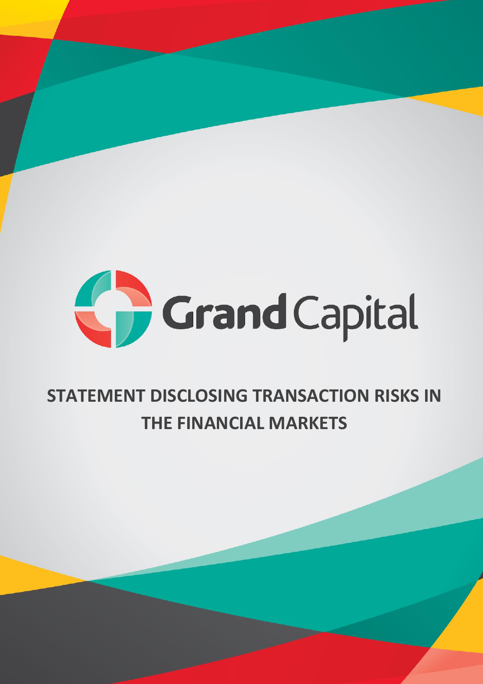

# **STATEMENT DISCLOSING TRANSACTION RISKS IN THE FINANCIAL MARKETS**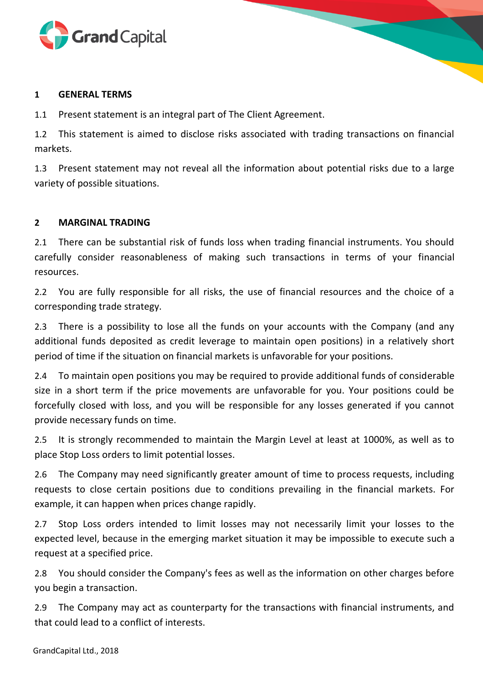

#### **1 GENERAL TERMS**

1.1 Present statement is an integral part of The Client Agreement.

1.2 This statement is aimed to disclose risks associated with trading transactions on financial markets.

1.3 Present statement may not reveal all the information about potential risks due to a large variety of possible situations.

## **2 MARGINAL TRADING**

2.1 There can be substantial risk of funds loss when trading financial instruments. You should carefully consider reasonableness of making such transactions in terms of your financial resources.

2.2 You are fully responsible for all risks, the use of financial resources and the choice of a corresponding trade strategy.

2.3 There is a possibility to lose all the funds on your accounts with the Company (and any additional funds deposited as credit leverage to maintain open positions) in a relatively short period of time if the situation on financial markets is unfavorable for your positions.

2.4 To maintain open positions you may be required to provide additional funds of considerable size in a short term if the price movements are unfavorable for you. Your positions could be forcefully closed with loss, and you will be responsible for any losses generated if you cannot provide necessary funds on time.

2.5 It is strongly recommended to maintain the Margin Level at least at 1000%, as well as to place Stop Loss orders to limit potential losses.

2.6 The Company may need significantly greater amount of time to process requests, including requests to close certain positions due to conditions prevailing in the financial markets. For example, it can happen when prices change rapidly.

2.7 Stop Loss orders intended to limit losses may not necessarily limit your losses to the expected level, because in the emerging market situation it may be impossible to execute such a request at a specified price.

2.8 You should consider the Company's fees as well as the information on other charges before you begin a transaction.

2.9 The Company may act as counterparty for the transactions with financial instruments, and that could lead to a conflict of interests.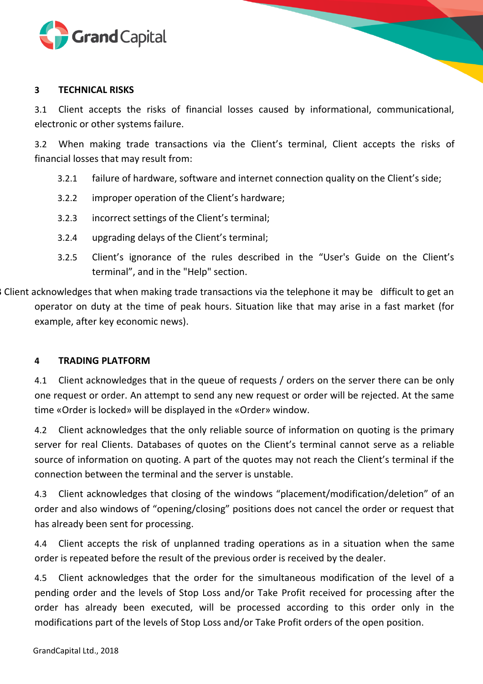

#### **3 TECHNICAL RISKS**

3.1 Client accepts the risks of financial losses caused by informational, communicational, electronic or other systems failure.

3.2 When making trade transactions via the Client's terminal, Client accepts the risks of financial losses that may result from:

- 3.2.1 failure of hardware, software and internet connection quality on the Client's side;
- 3.2.2 improper operation of the Client's hardware;
- 3.2.3 incorrect settings of the Client's terminal;
- 3.2.4 upgrading delays of the Client's terminal;
- 3.2.5 Client's ignorance of the rules described in the "User's Guide on the Client's terminal", and in the "Help" section.

3 Client acknowledges that when making trade transactions via the telephone it may be difficult to get an operator on duty at the time of peak hours. Situation like that may arise in a fast market (for example, after key economic news).

## **4 TRADING PLATFORM**

4.1 Client acknowledges that in the queue of requests / orders on the server there can be only one request or order. An attempt to send any new request or order will be rejected. At the same time «Order is locked» will be displayed in the «Order» window.

4.2 Client acknowledges that the only reliable source of information on quoting is the primary server for real Clients. Databases of quotes on the Client's terminal cannot serve as a reliable source of information on quoting. A part of the quotes may not reach the Client's terminal if the connection between the terminal and the server is unstable.

4.3 Client acknowledges that closing of the windows "placement/modification/deletion" of an order and also windows of "opening/closing" positions does not cancel the order or request that has already been sent for processing.

4.4 Client accepts the risk of unplanned trading operations as in a situation when the same order is repeated before the result of the previous order is received by the dealer.

4.5 Client acknowledges that the order for the simultaneous modification of the level of a pending order and the levels of Stop Loss and/or Take Profit received for processing after the order has already been executed, will be processed according to this order only in the modifications part of the levels of Stop Loss and/or Take Profit orders of the open position.